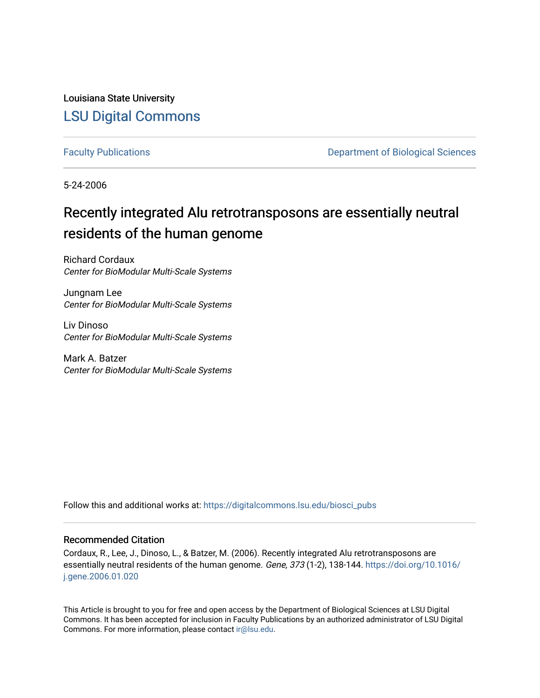Louisiana State University [LSU Digital Commons](https://digitalcommons.lsu.edu/)

[Faculty Publications](https://digitalcommons.lsu.edu/biosci_pubs) **Exercise 2 and Table 2 and Table 2 and Table 2 and Table 2 and Table 2 and Table 2 and Table 2 and Table 2 and Table 2 and Table 2 and Table 2 and Table 2 and Table 2 and Table 2 and Table 2 and Table** 

5-24-2006

# Recently integrated Alu retrotransposons are essentially neutral residents of the human genome

Richard Cordaux Center for BioModular Multi-Scale Systems

Jungnam Lee Center for BioModular Multi-Scale Systems

Liv Dinoso Center for BioModular Multi-Scale Systems

Mark A. Batzer Center for BioModular Multi-Scale Systems

Follow this and additional works at: [https://digitalcommons.lsu.edu/biosci\\_pubs](https://digitalcommons.lsu.edu/biosci_pubs?utm_source=digitalcommons.lsu.edu%2Fbiosci_pubs%2F194&utm_medium=PDF&utm_campaign=PDFCoverPages)

## Recommended Citation

Cordaux, R., Lee, J., Dinoso, L., & Batzer, M. (2006). Recently integrated Alu retrotransposons are essentially neutral residents of the human genome. Gene, 373 (1-2), 138-144. [https://doi.org/10.1016/](https://doi.org/10.1016/j.gene.2006.01.020) [j.gene.2006.01.020](https://doi.org/10.1016/j.gene.2006.01.020)

This Article is brought to you for free and open access by the Department of Biological Sciences at LSU Digital Commons. It has been accepted for inclusion in Faculty Publications by an authorized administrator of LSU Digital Commons. For more information, please contact [ir@lsu.edu](mailto:ir@lsu.edu).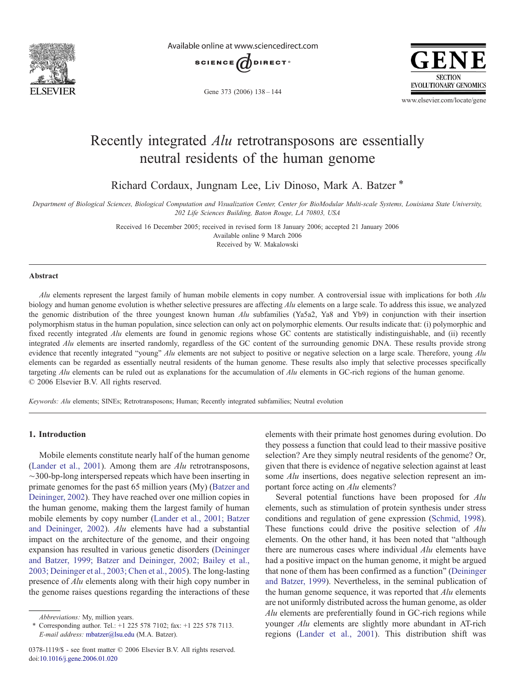

Available online at www.sciencedirect.com



Gene 373 (2006) 138–144



www.elsevier.com/locate/gene

## Recently integrated Alu retrotransposons are essentially neutral residents of the human genome

Richard Cordaux, Jungnam Lee, Liv Dinoso, Mark A. Batzer  $*$ 

Department of Biological Sciences, Biological Computation and Visualization Center, Center for BioModular Multi-scale Systems, Louisiana State University, 202 Life Sciences Building, Baton Rouge, LA 70803, USA

> Received 16 December 2005; received in revised form 18 January 2006; accepted 21 January 2006 Available online 9 March 2006 Received by W. Makalowski

#### Abstract

Alu elements represent the largest family of human mobile elements in copy number. A controversial issue with implications for both  $Au$ biology and human genome evolution is whether selective pressures are affecting Alu elements on a large scale. To address this issue, we analyzed the genomic distribution of the three youngest known human Alu subfamilies (Ya5a2, Ya8 and Yb9) in conjunction with their insertion polymorphism status in the human population, since selection can only act on polymorphic elements. Our results indicate that: (i) polymorphic and fixed recently integrated Alu elements are found in genomic regions whose GC contents are statistically indistinguishable, and (ii) recently integrated Alu elements are inserted randomly, regardless of the GC content of the surrounding genomic DNA. These results provide strong evidence that recently integrated "young" Alu elements are not subject to positive or negative selection on a large scale. Therefore, young Alu elements can be regarded as essentially neutral residents of the human genome. These results also imply that selective processes specifically targeting  $\Lambda l$ u elements can be ruled out as explanations for the accumulation of  $\Lambda l$ u elements in GC-rich regions of the human genome. © 2006 Elsevier B.V. All rights reserved.

Keywords: Alu elements; SINEs; Retrotransposons; Human; Recently integrated subfamilies; Neutral evolution

## 1. Introduction

Mobile elements constitute nearly half of the human genome ([Lander et al., 2001\)](#page-6-0). Among them are Alu retrotransposons, ∼300-bp-long interspersed repeats which have been inserting in primate genomes for the past 65 million years (My) [\(Batzer and](#page-6-0) [Deininger, 2002\)](#page-6-0). They have reached over one million copies in the human genome, making them the largest family of human mobile elements by copy number ([Lander et al., 2001; Batzer](#page-6-0) [and Deininger, 2002\)](#page-6-0). Alu elements have had a substantial impact on the architecture of the genome, and their ongoing expansion has resulted in various genetic disorders [\(Deininger](#page-6-0) [and Batzer, 1999; Batzer and Deininger, 2002; Bailey et al.,](#page-6-0) [2003; Deininger et al., 2003; Chen et al., 2005\)](#page-6-0). The long-lasting presence of Alu elements along with their high copy number in the genome raises questions regarding the interactions of these

elements with their primate host genomes during evolution. Do they possess a function that could lead to their massive positive selection? Are they simply neutral residents of the genome? Or, given that there is evidence of negative selection against at least some Alu insertions, does negative selection represent an important force acting on Alu elements?

Several potential functions have been proposed for Alu elements, such as stimulation of protein synthesis under stress conditions and regulation of gene expression ([Schmid, 1998](#page-7-0)). These functions could drive the positive selection of Alu elements. On the other hand, it has been noted that "although there are numerous cases where individual Alu elements have had a positive impact on the human genome, it might be argued that none of them has been confirmed as a function" [\(Deininger](#page-6-0) [and Batzer, 1999\)](#page-6-0). Nevertheless, in the seminal publication of the human genome sequence, it was reported that *Alu* elements are not uniformly distributed across the human genome, as older  $\Delta l$ u elements are preferentially found in GC-rich regions while younger Alu elements are slightly more abundant in AT-rich regions [\(Lander et al., 2001](#page-6-0)). This distribution shift was

Abbreviations: My, million years.

<sup>⁎</sup> Corresponding author. Tel.: +1 225 578 7102; fax: +1 225 578 7113. E-mail address: [mbatzer@lsu.edu](mailto:mbatzer@lsu.edu) (M.A. Batzer).

<sup>0378-1119/\$ -</sup> see front matter © 2006 Elsevier B.V. All rights reserved. [doi:10.1016/j.gene.2006.01.020](http://dx.doi.org/10.1016/j.gene.2006.01.020)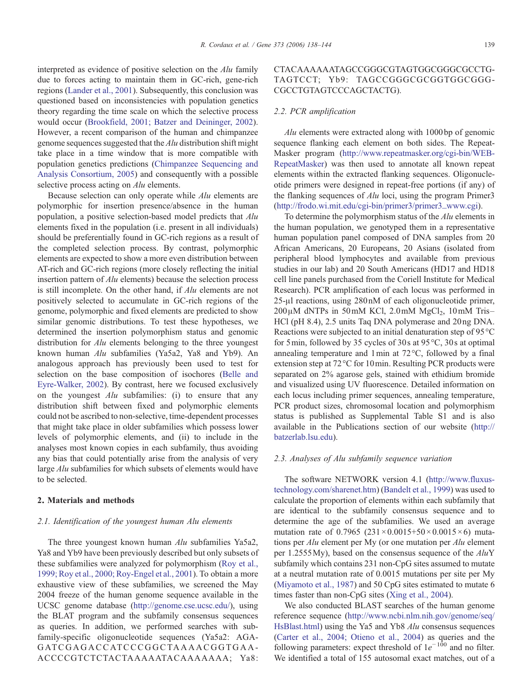interpreted as evidence of positive selection on the Alu family due to forces acting to maintain them in GC-rich, gene-rich regions [\(Lander et al., 2001\)](#page-6-0). Subsequently, this conclusion was questioned based on inconsistencies with population genetics theory regarding the time scale on which the selective process would occur ([Brookfield, 2001; Batzer and Deininger, 2002\)](#page-6-0). However, a recent comparison of the human and chimpanzee genome sequences suggested that the Alu distribution shift might take place in a time window that is more compatible with population genetics predictions ([Chimpanzee Sequencing and](#page-6-0) [Analysis Consortium, 2005\)](#page-6-0) and consequently with a possible selective process acting on *Alu* elements.

Because selection can only operate while *Alu* elements are polymorphic for insertion presence/absence in the human population, a positive selection-based model predicts that Alu elements fixed in the population (i.e. present in all individuals) should be preferentially found in GC-rich regions as a result of the completed selection process. By contrast, polymorphic elements are expected to show a more even distribution between AT-rich and GC-rich regions (more closely reflecting the initial insertion pattern of Alu elements) because the selection process is still incomplete. On the other hand, if Alu elements are not positively selected to accumulate in GC-rich regions of the genome, polymorphic and fixed elements are predicted to show similar genomic distributions. To test these hypotheses, we determined the insertion polymorphism status and genomic distribution for *Alu* elements belonging to the three youngest known human Alu subfamilies (Ya5a2, Ya8 and Yb9). An analogous approach has previously been used to test for selection on the base composition of isochores ([Belle and](#page-6-0) [Eyre-Walker, 2002](#page-6-0)). By contrast, here we focused exclusively on the youngest Alu subfamilies: (i) to ensure that any distribution shift between fixed and polymorphic elements could not be ascribed to non-selective, time-dependent processes that might take place in older subfamilies which possess lower levels of polymorphic elements, and (ii) to include in the analyses most known copies in each subfamily, thus avoiding any bias that could potentially arise from the analysis of very large Alu subfamilies for which subsets of elements would have to be selected.

## 2. Materials and methods

#### 2.1. Identification of the youngest human Alu elements

The three youngest known human Alu subfamilies Ya5a2, Ya8 and Yb9 have been previously described but only subsets of these subfamilies were analyzed for polymorphism [\(Roy et al.,](#page-7-0) [1999; Roy et al., 2000; Roy-Engel et al., 2001](#page-7-0)). To obtain a more exhaustive view of these subfamilies, we screened the May 2004 freeze of the human genome sequence available in the UCSC genome database (<http://genome.cse.ucsc.edu/>), using the BLAT program and the subfamily consensus sequences as queries. In addition, we performed searches with subfamily-specific oligonucleotide sequences (Ya5a2: AGA-GATCGAGACCATCCCGGCTAAAACGGTGAA - ACCCCGTCTCTACTAAAAATACAAAAAAA; Ya8:

## CTACAAAAAATAGCCGGGCGTAGTGGCGGGCGCCTG-TAGTCCT; Yb9: TAGCCGGGCGCGGTGGCGGG-CGCCTGTAGTCCCAGCTACTG).

#### 2.2. PCR amplification

Alu elements were extracted along with 1000bp of genomic sequence flanking each element on both sides. The Repeat-Masker program [\(http://www.repeatmasker.org/cgi-bin/WEB-](http://www.repeatmasker.org/cgi-bin/WEBRepeatMasker)[RepeatMasker\)](http://www.repeatmasker.org/cgi-bin/WEBRepeatMasker) was then used to annotate all known repeat elements within the extracted flanking sequences. Oligonucleotide primers were designed in repeat-free portions (if any) of the flanking sequences of Alu loci, using the program Primer3 ([http://frodo.wi.mit.edu/cgi-bin/primer3/primer3\\_www.cgi](http://frodo.wi.mit.edu/cgi-bin/primer3/primer3_www.cgi)).

To determine the polymorphism status of the Alu elements in the human population, we genotyped them in a representative human population panel composed of DNA samples from 20 African Americans, 20 Europeans, 20 Asians (isolated from peripheral blood lymphocytes and available from previous studies in our lab) and 20 South Americans (HD17 and HD18 cell line panels purchased from the Coriell Institute for Medical Research). PCR amplification of each locus was performed in 25-μl reactions, using 280 nM of each oligonucleotide primer,  $200 \mu M$  dNTPs in 50mM KCl, 2.0mM MgCl<sub>2</sub>, 10mM Tris-HCl (pH 8.4), 2.5 units Taq DNA polymerase and 20 ng DNA. Reactions were subjected to an initial denaturation step of 95 °C for 5 min, followed by 35 cycles of 30 s at  $95^{\circ}$ C, 30 s at optimal annealing temperature and 1min at 72 °C, followed by a final extension step at 72°C for 10min. Resulting PCR products were separated on 2% agarose gels, stained with ethidium bromide and visualized using UV fluorescence. Detailed information on each locus including primer sequences, annealing temperature, PCR product sizes, chromosomal location and polymorphism status is published as Supplemental Table S1 and is also available in the Publications section of our website [\(http://](http://batzerlab.lsu.edu) [batzerlab.lsu.edu](http://batzerlab.lsu.edu)).

## 2.3. Analyses of Alu subfamily sequence variation

The software NETWORK version 4.1 ([http://www.fluxus](http://www.fluxus-technology.com/sharenet.htm)[technology.com/sharenet.htm\)](http://www.fluxus-technology.com/sharenet.htm) [\(Bandelt et al., 1999](#page-6-0)) was used to calculate the proportion of elements within each subfamily that are identical to the subfamily consensus sequence and to determine the age of the subfamilies. We used an average mutation rate of 0.7965 (231 × 0.0015+50 × 0.0015 × 6) mutations per Alu element per My (or one mutation per Alu element per 1.2555My), based on the consensus sequence of the AluY subfamily which contains 231 non-CpG sites assumed to mutate at a neutral mutation rate of 0.0015 mutations per site per My ([Miyamoto et al., 1987](#page-6-0)) and 50 CpG sites estimated to mutate 6 times faster than non-CpG sites ([Xing et al., 2004\)](#page-7-0).

We also conducted BLAST searches of the human genome reference sequence [\(http://www.ncbi.nlm.nih.gov/genome/seq/](http://www.ncbi.nlm.nih.gov/genome/seq/HsBlast.html) [HsBlast.html](http://www.ncbi.nlm.nih.gov/genome/seq/HsBlast.html)) using the Ya5 and Yb8 Alu consensus sequences ([Carter et al., 2004; Otieno et al., 2004](#page-6-0)) as queries and the following parameters: expect threshold of  $1e^{-100}$  and no filter. We identified a total of 155 autosomal exact matches, out of a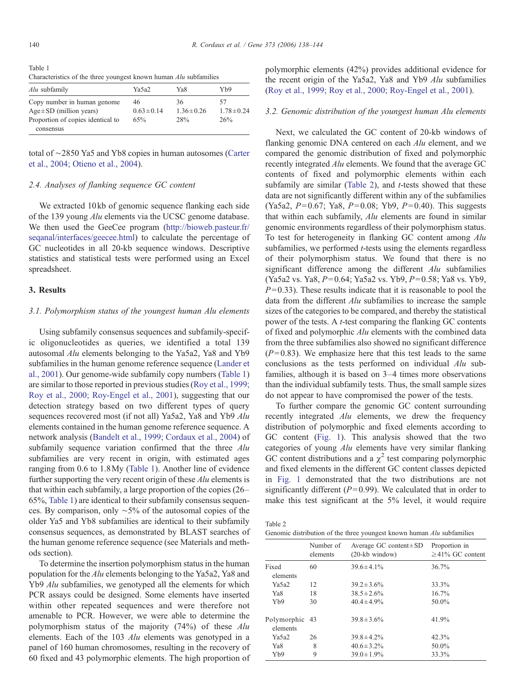<span id="page-3-0"></span>Table 1 Characteristics of the three youngest known human Alu subfamilies

| Alu subfamily                                                                                    | Ya5a2                        | Ya8                          | Yb9                          |
|--------------------------------------------------------------------------------------------------|------------------------------|------------------------------|------------------------------|
| Copy number in human genome<br>$Age \pm SD$ (million years)<br>Proportion of copies identical to | 46<br>$0.63 \pm 0.14$<br>65% | 36<br>$1.36 \pm 0.26$<br>28% | 57<br>$1.78 \pm 0.24$<br>26% |
| consensus                                                                                        |                              |                              |                              |

total of ∼2850 Ya5 and Yb8 copies in human autosomes [\(Carter](#page-6-0) [et al., 2004; Otieno et al., 2004\)](#page-6-0).

#### 2.4. Analyses of flanking sequence GC content

We extracted 10kb of genomic sequence flanking each side of the 139 young Alu elements via the UCSC genome database. We then used the GeeCee program ([http://bioweb.pasteur.fr/](http://bioweb.pasteur.fr/seqanal/interfaces/geecee.html) [seqanal/interfaces/geecee.html](http://bioweb.pasteur.fr/seqanal/interfaces/geecee.html)) to calculate the percentage of GC nucleotides in all 20-kb sequence windows. Descriptive statistics and statistical tests were performed using an Excel spreadsheet.

#### 3. Results

## 3.1. Polymorphism status of the youngest human Alu elements

Using subfamily consensus sequences and subfamily-specific oligonucleotides as queries, we identified a total 139 autosomal Alu elements belonging to the Ya5a2, Ya8 and Yb9 subfamilies in the human genome reference sequence ([Lander et](#page-6-0) [al., 2001\)](#page-6-0). Our genome-wide subfamily copy numbers (Table 1) are similar to those reported in previous studies ([Roy et al., 1999;](#page-7-0) [Roy et al., 2000; Roy-Engel et al., 2001](#page-7-0)), suggesting that our detection strategy based on two different types of query sequences recovered most (if not all) Ya5a2, Ya8 and Yb9 Alu elements contained in the human genome reference sequence. A network analysis [\(Bandelt et al., 1999; Cordaux et al., 2004\)](#page-6-0) of subfamily sequence variation confirmed that the three Alu subfamilies are very recent in origin, with estimated ages ranging from 0.6 to 1.8My (Table 1). Another line of evidence further supporting the very recent origin of these Alu elements is that within each subfamily, a large proportion of the copies (26– 65%, Table 1) are identical to their subfamily consensus sequences. By comparison, only ∼5% of the autosomal copies of the older Ya5 and Yb8 subfamilies are identical to their subfamily consensus sequences, as demonstrated by BLAST searches of the human genome reference sequence (see Materials and methods section).

To determine the insertion polymorphism status in the human population for the Alu elements belonging to the Ya5a2, Ya8 and Yb9 Alu subfamilies, we genotyped all the elements for which PCR assays could be designed. Some elements have inserted within other repeated sequences and were therefore not amenable to PCR. However, we were able to determine the polymorphism status of the majority (74%) of these Alu elements. Each of the 103 Alu elements was genotyped in a panel of 160 human chromosomes, resulting in the recovery of 60 fixed and 43 polymorphic elements. The high proportion of polymorphic elements (42%) provides additional evidence for the recent origin of the Ya5a2, Ya8 and Yb9 Alu subfamilies ([Roy et al., 1999; Roy et al., 2000; Roy-Engel et al., 2001](#page-7-0)).

#### 3.2. Genomic distribution of the youngest human Alu elements

Next, we calculated the GC content of 20-kb windows of flanking genomic DNA centered on each *Alu* element, and we compared the genomic distribution of fixed and polymorphic recently integrated Alu elements. We found that the average GC contents of fixed and polymorphic elements within each subfamily are similar (Table 2), and  $t$ -tests showed that these data are not significantly different within any of the subfamilies (Ya5a2,  $P=0.67$ ; Ya8,  $P=0.08$ ; Yb9,  $P=0.40$ ). This suggests that within each subfamily, Alu elements are found in similar genomic environments regardless of their polymorphism status. To test for heterogeneity in flanking GC content among Alu subfamilies, we performed *t*-tests using the elements regardless of their polymorphism status. We found that there is no significant difference among the different Alu subfamilies (Ya5a2 vs. Ya8,  $P=0.64$ ; Ya5a2 vs. Yb9,  $P=0.58$ ; Ya8 vs. Yb9,  $P= 0.33$ ). These results indicate that it is reasonable to pool the data from the different Alu subfamilies to increase the sample sizes of the categories to be compared, and thereby the statistical power of the tests. A t-test comparing the flanking GC contents of fixed and polymorphic Alu elements with the combined data from the three subfamilies also showed no significant difference  $(P= 0.83)$ . We emphasize here that this test leads to the same conclusions as the tests performed on individual Alu subfamilies, although it is based on 3–4 times more observations than the individual subfamily tests. Thus, the small sample sizes do not appear to have compromised the power of the tests.

To further compare the genomic GC content surrounding recently integrated Alu elements, we drew the frequency distribution of polymorphic and fixed elements according to GC content ([Fig. 1\)](#page-4-0). This analysis showed that the two categories of young Alu elements have very similar flanking GC content distributions and a  $\chi^2$  test comparing polymorphic and fixed elements in the different GC content classes depicted in [Fig. 1](#page-4-0) demonstrated that the two distributions are not significantly different ( $P= 0.99$ ). We calculated that in order to make this test significant at the 5% level, it would require

| Table 2                                                                |  |  |  |  |
|------------------------------------------------------------------------|--|--|--|--|
| Genomic distribution of the three youngest known human Alu subfamilies |  |  |  |  |

|                         | Number of<br>elements | Average GC content $\pm$ SD<br>$(20-kb$ window) | Proportion in<br>$\geq$ 41% GC content |
|-------------------------|-----------------------|-------------------------------------------------|----------------------------------------|
| Fixed<br>elements       | 60                    | $39.6 \pm 4.1\%$                                | 36.7%                                  |
| Ya5a2                   | 12                    | $39.2 \pm 3.6\%$                                | 33.3%                                  |
| Ya8                     | 18                    | $38.5 \pm 2.6\%$                                | 16.7%                                  |
| Y <sub>b</sub> 9        | 30                    | $40.4 \pm 4.9\%$                                | 50.0%                                  |
| Polymorphic<br>elements | -43                   | $39.8 \pm 3.6\%$                                | 41.9%                                  |
| Ya5a2                   | 26                    | $39.8 \pm 4.2\%$                                | 42.3%                                  |
| Ya8                     | 8                     | $40.6 \pm 3.2\%$                                | 50.0%                                  |
| Y <sub>b</sub> 9        | 9                     | $39.0 \pm 1.9\%$                                | 33.3%                                  |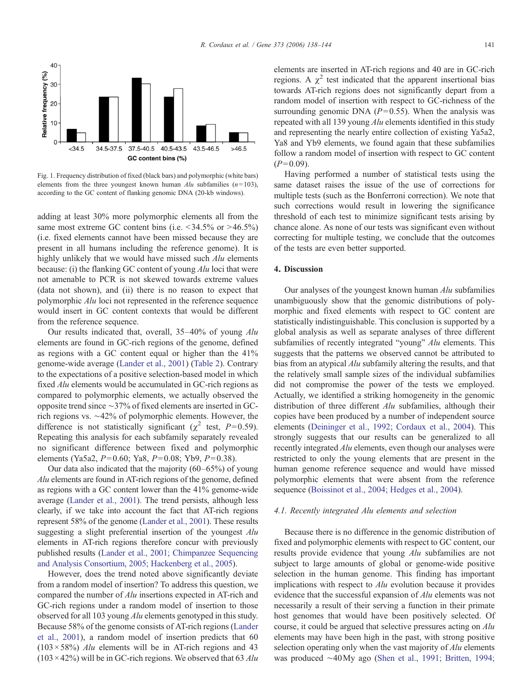<span id="page-4-0"></span>

Fig. 1. Frequency distribution of fixed (black bars) and polymorphic (white bars) elements from the three youngest known human Alu subfamilies  $(n=103)$ , according to the GC content of flanking genomic DNA (20-kb windows).

adding at least 30% more polymorphic elements all from the same most extreme GC content bins (i.e.  $\leq 34.5\%$  or  $> 46.5\%$ ) (i.e. fixed elements cannot have been missed because they are present in all humans including the reference genome). It is highly unlikely that we would have missed such *Alu* elements because: (i) the flanking GC content of young Alu loci that were not amenable to PCR is not skewed towards extreme values (data not shown), and (ii) there is no reason to expect that polymorphic Alu loci not represented in the reference sequence would insert in GC content contexts that would be different from the reference sequence.

Our results indicated that, overall, 35–40% of young Alu elements are found in GC-rich regions of the genome, defined as regions with a GC content equal or higher than the 41% genome-wide average ([Lander et al., 2001](#page-6-0)) [\(Table 2\)](#page-3-0). Contrary to the expectations of a positive selection-based model in which fixed Alu elements would be accumulated in GC-rich regions as compared to polymorphic elements, we actually observed the opposite trend since ∼37% of fixed elements are inserted in GCrich regions vs. ∼42% of polymorphic elements. However, the difference is not statistically significant ( $\chi^2$  test,  $P=0.59$ ). Repeating this analysis for each subfamily separately revealed no significant difference between fixed and polymorphic elements (Ya5a2,  $P=0.60$ ; Ya8,  $P=0.08$ ; Yb9,  $P=0.38$ ).

Our data also indicated that the majority (60–65%) of young Alu elements are found in AT-rich regions of the genome, defined as regions with a GC content lower than the 41% genome-wide average [\(Lander et al., 2001\)](#page-6-0). The trend persists, although less clearly, if we take into account the fact that AT-rich regions represent 58% of the genome ([Lander et al., 2001\)](#page-6-0). These results suggesting a slight preferential insertion of the youngest Alu elements in AT-rich regions therefore concur with previously published results [\(Lander et al., 2001; Chimpanzee Sequencing](#page-6-0) [and Analysis Consortium, 2005; Hackenberg et al., 2005](#page-6-0)).

However, does the trend noted above significantly deviate from a random model of insertion? To address this question, we compared the number of Alu insertions expected in AT-rich and GC-rich regions under a random model of insertion to those observed for all 103 young Alu elements genotyped in this study. Because 58% of the genome consists of AT-rich regions ([Lander](#page-6-0) [et al., 2001](#page-6-0)), a random model of insertion predicts that 60  $(103 \times 58\%)$  *Alu* elements will be in AT-rich regions and 43  $(103 \times 42\%)$  will be in GC-rich regions. We observed that 63 Alu elements are inserted in AT-rich regions and 40 are in GC-rich regions. A  $\chi^2$  test indicated that the apparent insertional bias towards AT-rich regions does not significantly depart from a random model of insertion with respect to GC-richness of the surrounding genomic DNA ( $P= 0.55$ ). When the analysis was repeated with all 139 young Alu elements identified in this study and representing the nearly entire collection of existing Ya5a2, Ya8 and Yb9 elements, we found again that these subfamilies follow a random model of insertion with respect to GC content  $(P= 0.09)$ .

Having performed a number of statistical tests using the same dataset raises the issue of the use of corrections for multiple tests (such as the Bonferroni correction). We note that such corrections would result in lowering the significance threshold of each test to minimize significant tests arising by chance alone. As none of our tests was significant even without correcting for multiple testing, we conclude that the outcomes of the tests are even better supported.

#### 4. Discussion

Our analyses of the youngest known human Alu subfamilies unambiguously show that the genomic distributions of polymorphic and fixed elements with respect to GC content are statistically indistinguishable. This conclusion is supported by a global analysis as well as separate analyses of three different subfamilies of recently integrated "young" Alu elements. This suggests that the patterns we observed cannot be attributed to bias from an atypical Alu subfamily altering the results, and that the relatively small sample sizes of the individual subfamilies did not compromise the power of the tests we employed. Actually, we identified a striking homogeneity in the genomic distribution of three different Alu subfamilies, although their copies have been produced by a number of independent source elements ([Deininger et al., 1992; Cordaux et al., 2004](#page-6-0)). This strongly suggests that our results can be generalized to all recently integrated *Alu* elements, even though our analyses were restricted to only the young elements that are present in the human genome reference sequence and would have missed polymorphic elements that were absent from the reference sequence ([Boissinot et al., 2004; Hedges et al., 2004\)](#page-6-0).

#### 4.1. Recently integrated Alu elements and selection

Because there is no difference in the genomic distribution of fixed and polymorphic elements with respect to GC content, our results provide evidence that young Alu subfamilies are not subject to large amounts of global or genome-wide positive selection in the human genome. This finding has important implications with respect to Alu evolution because it provides evidence that the successful expansion of *Alu* elements was not necessarily a result of their serving a function in their primate host genomes that would have been positively selected. Of course, it could be argued that selective pressures acting on Alu elements may have been high in the past, with strong positive selection operating only when the vast majority of  $\Lambda$ lu elements was produced ∼40My ago [\(Shen et al., 1991; Britten, 1994;](#page-7-0)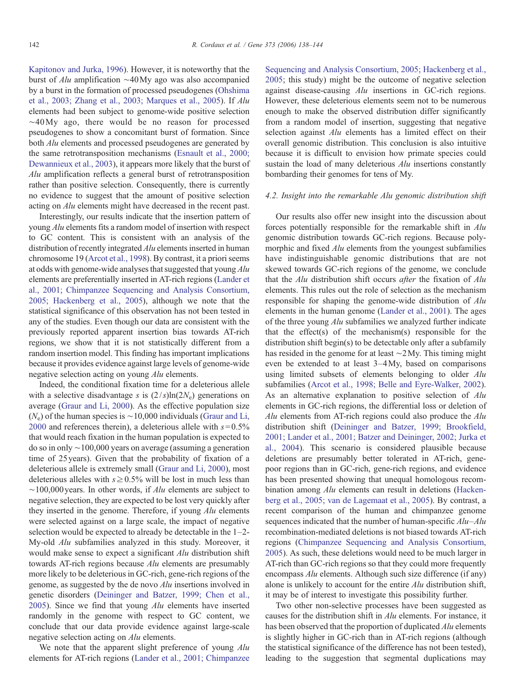[Kapitonov and Jurka, 1996](#page-7-0)). However, it is noteworthy that the burst of Alu amplification ∼40My ago was also accompanied by a burst in the formation of processed pseudogenes [\(Ohshima](#page-6-0) [et al., 2003; Zhang et al., 2003; Marques et al., 2005\)](#page-6-0). If Alu elements had been subject to genome-wide positive selection ∼40My ago, there would be no reason for processed pseudogenes to show a concomitant burst of formation. Since both Alu elements and processed pseudogenes are generated by the same retrotransposition mechanisms [\(Esnault et al., 2000;](#page-6-0) [Dewannieux et al., 2003](#page-6-0)), it appears more likely that the burst of Alu amplification reflects a general burst of retrotransposition rather than positive selection. Consequently, there is currently no evidence to suggest that the amount of positive selection acting on Alu elements might have decreased in the recent past.

Interestingly, our results indicate that the insertion pattern of young Alu elements fits a random model of insertion with respect to GC content. This is consistent with an analysis of the distribution of recently integrated Alu elements inserted in human chromosome 19 [\(Arcot et al., 1998\)](#page-6-0). By contrast, it a priori seems at odds with genome-wide analyses that suggested that young  $Alu$ elements are preferentially inserted in AT-rich regions ([Lander et](#page-6-0) [al., 2001; Chimpanzee Sequencing and Analysis Consortium,](#page-6-0) [2005; Hackenberg et al., 2005](#page-6-0)), although we note that the statistical significance of this observation has not been tested in any of the studies. Even though our data are consistent with the previously reported apparent insertion bias towards AT-rich regions, we show that it is not statistically different from a random insertion model. This finding has important implications because it provides evidence against large levels of genome-wide negative selection acting on young Alu elements.

Indeed, the conditional fixation time for a deleterious allele with a selective disadvantage s is  $(2/s)ln(2N_e)$  generations on average ([Graur and Li, 2000\)](#page-6-0). As the effective population size ( $N_e$ ) of the human species is ~10,000 individuals ([Graur and Li,](#page-6-0) [2000](#page-6-0) and references therein), a deleterious allele with  $s = 0.5\%$ that would reach fixation in the human population is expected to do so in only ∼100,000 years on average (assuming a generation time of 25 years). Given that the probability of fixation of a deleterious allele is extremely small [\(Graur and Li, 2000](#page-6-0)), most deleterious alleles with  $s \geq 0.5\%$  will be lost in much less than ∼100,000 years. In other words, if Alu elements are subject to negative selection, they are expected to be lost very quickly after they inserted in the genome. Therefore, if young *Alu* elements were selected against on a large scale, the impact of negative selection would be expected to already be detectable in the 1–2- My-old Alu subfamilies analyzed in this study. Moreover, it would make sense to expect a significant Alu distribution shift towards AT-rich regions because Alu elements are presumably more likely to be deleterious in GC-rich, gene-rich regions of the genome, as suggested by the de novo Alu insertions involved in genetic disorders [\(Deininger and Batzer, 1999; Chen et al.,](#page-6-0) [2005\)](#page-6-0). Since we find that young Alu elements have inserted randomly in the genome with respect to GC content, we conclude that our data provide evidence against large-scale negative selection acting on Alu elements.

We note that the apparent slight preference of young  $Alu$ elements for AT-rich regions ([Lander et al., 2001; Chimpanzee](#page-6-0)

[Sequencing and Analysis Consortium, 2005; Hackenberg et al.,](#page-6-0) [2005;](#page-6-0) this study) might be the outcome of negative selection against disease-causing Alu insertions in GC-rich regions. However, these deleterious elements seem not to be numerous enough to make the observed distribution differ significantly from a random model of insertion, suggesting that negative selection against *Alu* elements has a limited effect on their overall genomic distribution. This conclusion is also intuitive because it is difficult to envision how primate species could sustain the load of many deleterious Alu insertions constantly bombarding their genomes for tens of My.

#### 4.2. Insight into the remarkable Alu genomic distribution shift

Our results also offer new insight into the discussion about forces potentially responsible for the remarkable shift in Alu genomic distribution towards GC-rich regions. Because polymorphic and fixed *Alu* elements from the youngest subfamilies have indistinguishable genomic distributions that are not skewed towards GC-rich regions of the genome, we conclude that the Alu distribution shift occurs after the fixation of Alu elements. This rules out the role of selection as the mechanism responsible for shaping the genome-wide distribution of Alu elements in the human genome ([Lander et al., 2001](#page-6-0)). The ages of the three young Alu subfamilies we analyzed further indicate that the effect(s) of the mechanism(s) responsible for the distribution shift begin(s) to be detectable only after a subfamily has resided in the genome for at least ∼2My. This timing might even be extended to at least 3–4My, based on comparisons using limited subsets of elements belonging to older Alu subfamilies [\(Arcot et al., 1998; Belle and Eyre-Walker, 2002](#page-6-0)). As an alternative explanation to positive selection of Alu elements in GC-rich regions, the differential loss or deletion of Alu elements from AT-rich regions could also produce the  $Alu$ distribution shift ([Deininger and Batzer, 1999; Brookfield,](#page-6-0) [2001; Lander et al., 2001; Batzer and Deininger, 2002; Jurka et](#page-6-0) [al., 2004](#page-6-0)). This scenario is considered plausible because deletions are presumably better tolerated in AT-rich, genepoor regions than in GC-rich, gene-rich regions, and evidence has been presented showing that unequal homologous recom-bination among Alu elements can result in deletions [\(Hacken](#page-6-0)[berg et al., 2005; van de Lagemaat et al., 2005\)](#page-6-0). By contrast, a recent comparison of the human and chimpanzee genome sequences indicated that the number of human-specific  $Alu–Alu$ recombination-mediated deletions is not biased towards AT-rich regions ([Chimpanzee Sequencing and Analysis Consortium,](#page-6-0) [2005\)](#page-6-0). As such, these deletions would need to be much larger in AT-rich than GC-rich regions so that they could more frequently encompass Alu elements. Although such size difference (if any) alone is unlikely to account for the entire  $Alu$  distribution shift, it may be of interest to investigate this possibility further.

Two other non-selective processes have been suggested as causes for the distribution shift in Alu elements. For instance, it has been observed that the proportion of duplicated Alu elements is slightly higher in GC-rich than in AT-rich regions (although the statistical significance of the difference has not been tested), leading to the suggestion that segmental duplications may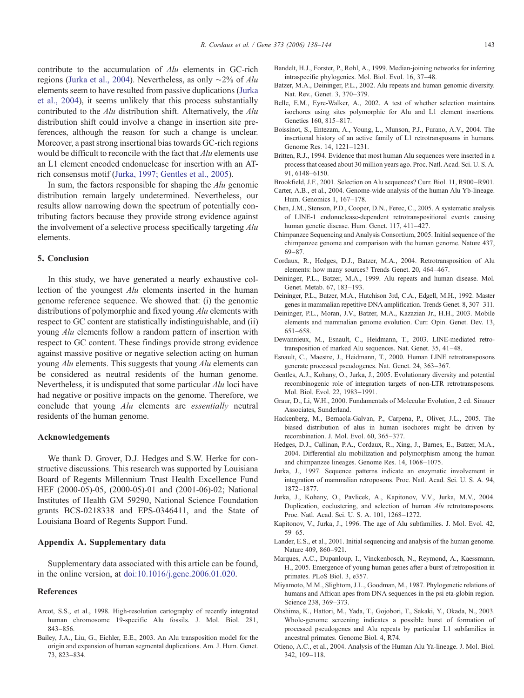<span id="page-6-0"></span>contribute to the accumulation of Alu elements in GC-rich regions (Jurka et al., 2004). Nevertheless, as only ∼2% of Alu elements seem to have resulted from passive duplications (Jurka et al., 2004), it seems unlikely that this process substantially contributed to the Alu distribution shift. Alternatively, the Alu distribution shift could involve a change in insertion site preferences, although the reason for such a change is unclear. Moreover, a past strong insertional bias towards GC-rich regions would be difficult to reconcile with the fact that Alu elements use an L1 element encoded endonuclease for insertion with an ATrich consensus motif (Jurka, 1997; Gentles et al., 2005).

In sum, the factors responsible for shaping the Alu genomic distribution remain largely undetermined. Nevertheless, our results allow narrowing down the spectrum of potentially contributing factors because they provide strong evidence against the involvement of a selective process specifically targeting Alu elements.

#### 5. Conclusion

In this study, we have generated a nearly exhaustive collection of the youngest Alu elements inserted in the human genome reference sequence. We showed that: (i) the genomic distributions of polymorphic and fixed young Alu elements with respect to GC content are statistically indistinguishable, and (ii) young Alu elements follow a random pattern of insertion with respect to GC content. These findings provide strong evidence against massive positive or negative selection acting on human young *Alu* elements. This suggests that young *Alu* elements can be considered as neutral residents of the human genome. Nevertheless, it is undisputed that some particular Alu loci have had negative or positive impacts on the genome. Therefore, we conclude that young Alu elements are essentially neutral residents of the human genome.

#### Acknowledgements

We thank D. Grover, D.J. Hedges and S.W. Herke for constructive discussions. This research was supported by Louisiana Board of Regents Millennium Trust Health Excellence Fund HEF (2000-05)-05, (2000-05)-01 and (2001-06)-02; National Institutes of Health GM 59290, National Science Foundation grants BCS-0218338 and EPS-0346411, and the State of Louisiana Board of Regents Support Fund.

## Appendix A. Supplementary data

Supplementary data associated with this article can be found, in the online version, at [doi:10.1016/j.gene.2006.01.020](http://dx.doi.org/doi:10.1016/j.gene.2006.01.020).

#### References

- Arcot, S.S., et al., 1998. High-resolution cartography of recently integrated human chromosome 19-specific Alu fossils. J. Mol. Biol. 281, 843–856.
- Bailey, J.A., Liu, G., Eichler, E.E., 2003. An Alu transposition model for the origin and expansion of human segmental duplications. Am. J. Hum. Genet. 73, 823–834.
- Bandelt, H.J., Forster, P., Rohl, A., 1999. Median-joining networks for inferring intraspecific phylogenies. Mol. Biol. Evol. 16, 37–48.
- Batzer, M.A., Deininger, P.L., 2002. Alu repeats and human genomic diversity. Nat. Rev., Genet. 3, 370–379.
- Belle, E.M., Eyre-Walker, A., 2002. A test of whether selection maintains isochores using sites polymorphic for Alu and L1 element insertions. Genetics 160, 815–817.
- Boissinot, S., Entezam, A., Young, L., Munson, P.J., Furano, A.V., 2004. The insertional history of an active family of L1 retrotransposons in humans. Genome Res. 14, 1221–1231.
- Britten, R.J., 1994. Evidence that most human Alu sequences were inserted in a process that ceased about 30 million years ago. Proc. Natl. Acad. Sci. U. S. A. 91, 6148–6150.
- Brookfield, J.F., 2001. Selection on Alu sequences? Curr. Biol. 11, R900–R901.
- Carter, A.B., et al., 2004. Genome-wide analysis of the human Alu Yb-lineage. Hum. Genomics 1, 167–178.
- Chen, J.M., Stenson, P.D., Cooper, D.N., Ferec, C., 2005. A systematic analysis of LINE-1 endonuclease-dependent retrotranspositional events causing human genetic disease. Hum. Genet. 117, 411–427.
- Chimpanzee Sequencing and Analysis Consortium, 2005. Initial sequence of the chimpanzee genome and comparison with the human genome. Nature 437, 69–87.
- Cordaux, R., Hedges, D.J., Batzer, M.A., 2004. Retrotransposition of Alu elements: how many sources? Trends Genet. 20, 464–467.
- Deininger, P.L., Batzer, M.A., 1999. Alu repeats and human disease. Mol. Genet. Metab. 67, 183–193.
- Deininger, P.L., Batzer, M.A., Hutchison 3rd, C.A., Edgell, M.H., 1992. Master genes in mammalian repetitive DNA amplification. Trends Genet. 8, 307–311.
- Deininger, P.L., Moran, J.V., Batzer, M.A., Kazazian Jr., H.H., 2003. Mobile elements and mammalian genome evolution. Curr. Opin. Genet. Dev. 13, 651–658.
- Dewannieux, M., Esnault, C., Heidmann, T., 2003. LINE-mediated retrotransposition of marked Alu sequences. Nat. Genet. 35, 41–48.
- Esnault, C., Maestre, J., Heidmann, T., 2000. Human LINE retrotransposons generate processed pseudogenes. Nat. Genet. 24, 363–367.
- Gentles, A.J., Kohany, O., Jurka, J., 2005. Evolutionary diversity and potential recombinogenic role of integration targets of non-LTR retrotransposons. Mol. Biol. Evol. 22, 1983–1991.
- Graur, D., Li, W.H., 2000. Fundamentals of Molecular Evolution, 2 ed. Sinauer Associates, Sunderland.
- Hackenberg, M., Bernaola-Galvan, P., Carpena, P., Oliver, J.L., 2005. The biased distribution of alus in human isochores might be driven by recombination. J. Mol. Evol. 60, 365–377.
- Hedges, D.J., Callinan, P.A., Cordaux, R., Xing, J., Barnes, E., Batzer, M.A., 2004. Differential alu mobilization and polymorphism among the human and chimpanzee lineages. Genome Res. 14, 1068–1075.
- Jurka, J., 1997. Sequence patterns indicate an enzymatic involvement in integration of mammalian retroposons. Proc. Natl. Acad. Sci. U. S. A. 94, 1872–1877.
- Jurka, J., Kohany, O., Pavlicek, A., Kapitonov, V.V., Jurka, M.V., 2004. Duplication, coclustering, and selection of human Alu retrotransposons. Proc. Natl. Acad. Sci. U. S. A. 101, 1268–1272.
- Kapitonov, V., Jurka, J., 1996. The age of Alu subfamilies. J. Mol. Evol. 42, 59–65.
- Lander, E.S., et al., 2001. Initial sequencing and analysis of the human genome. Nature 409, 860–921.
- Marques, A.C., Dupanloup, I., Vinckenbosch, N., Reymond, A., Kaessmann, H., 2005. Emergence of young human genes after a burst of retroposition in primates. PLoS Biol. 3, e357.
- Miyamoto, M.M., Slightom, J.L., Goodman, M., 1987. Phylogenetic relations of humans and African apes from DNA sequences in the psi eta-globin region. Science 238, 369–373.
- Ohshima, K., Hattori, M., Yada, T., Gojobori, T., Sakaki, Y., Okada, N., 2003. Whole-genome screening indicates a possible burst of formation of processed pseudogenes and Alu repeats by particular L1 subfamilies in ancestral primates. Genome Biol. 4, R74.
- Otieno, A.C., et al., 2004. Analysis of the Human Alu Ya-lineage. J. Mol. Biol. 342, 109–118.